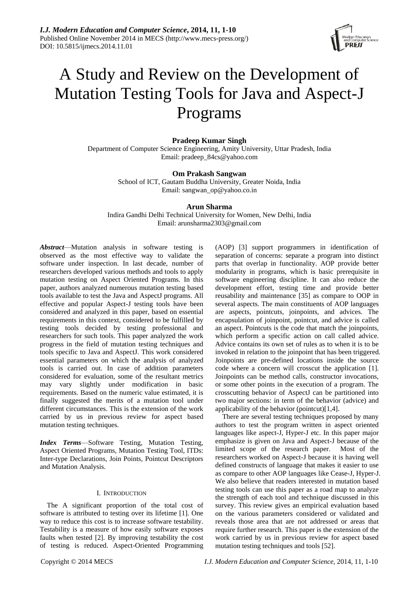

# A Study and Review on the Development of Mutation Testing Tools for Java and Aspect-J Programs

**Pradeep Kumar Singh**

Department of Computer Science Engineering, Amity University, Uttar Pradesh, India Email: pradeep\_84cs@yahoo.com

# **Om Prakash Sangwan**

School of ICT, Gautam Buddha University, Greater Noida, India Email: sangwan\_op@yahoo.co.in

# **Arun Sharma**

Indira Gandhi Delhi Technical University for Women, New Delhi, India Email: arunsharma2303@gmail.com

*Abstract*—Mutation analysis in software testing is observed as the most effective way to validate the software under inspection. In last decade, number of researchers developed various methods and tools to apply mutation testing on Aspect Oriented Programs. In this paper, authors analyzed numerous mutation testing based tools available to test the Java and AspectJ programs. All effective and popular Aspect-J testing tools have been considered and analyzed in this paper, based on essential requirements in this context, considered to be fulfilled by testing tools decided by testing professional and researchers for such tools. This paper analyzed the work progress in the field of mutation testing techniques and tools specific to Java and AspectJ. This work considered essential parameters on which the analysis of analyzed tools is carried out. In case of addition parameters considered for evaluation, some of the resultant metrics may vary slightly under modification in basic requirements. Based on the numeric value estimated, it is finally suggested the merits of a mutation tool under different circumstances. This is the extension of the work carried by us in previous review for aspect based mutation testing techniques.

*Index Terms*—Software Testing, Mutation Testing, Aspect Oriented Programs, Mutation Testing Tool, ITDs: Inter-type Declarations, Join Points, Pointcut Descriptors and Mutation Analysis.

# I. INTRODUCTION

The A significant proportion of the total cost of software is attributed to testing over its lifetime [1]. One way to reduce this cost is to increase software testability. Testability is a measure of how easily software exposes faults when tested [2]. By improving testability the cost of testing is reduced. Aspect-Oriented Programming

(AOP) [3] support programmers in identification of separation of concerns: separate a program into distinct parts that overlap in functionality. AOP provide better modularity in programs, which is basic prerequisite in software engineering discipline. It can also reduce the development effort, testing time and provide better reusability and maintenance [35] as compare to OOP in several aspects. The main constituents of AOP languages are aspects, pointcuts, joinpoints, and advices. The encapsulation of joinpoint, pointcut, and advice is called an aspect. Pointcuts is the code that match the joinpoints, which perform a specific action on call called advice. Advice contains its own set of rules as to when it is to be invoked in relation to the joinpoint that has been triggered. Joinpoints are pre-defined locations inside the source code where a concern will crosscut the application [1]. Joinpoints can be method calls, constructor invocations, or some other points in the execution of a program. The crosscutting behavior of AspectJ can be partitioned into two major sections: in term of the behavior (advice) and applicability of the behavior (pointcut)[1,4].

There are several testing techniques proposed by many authors to test the program written in aspect oriented languages like aspect-J, Hyper-J etc. In this paper major emphasize is given on Java and Aspect-J because of the limited scope of the research paper. Most of the researchers worked on Aspect-J because it is having well defined constructs of language that makes it easier to use as compare to other AOP languages like Cease-J, Hyper-J. We also believe that readers interested in mutation based testing tools can use this paper as a road map to analyze the strength of each tool and technique discussed in this survey. This review gives an empirical evaluation based on the various parameters considered or validated and reveals those area that are not addressed or areas that require further research. This paper is the extension of the work carried by us in previous review for aspect based mutation testing techniques and tools [52].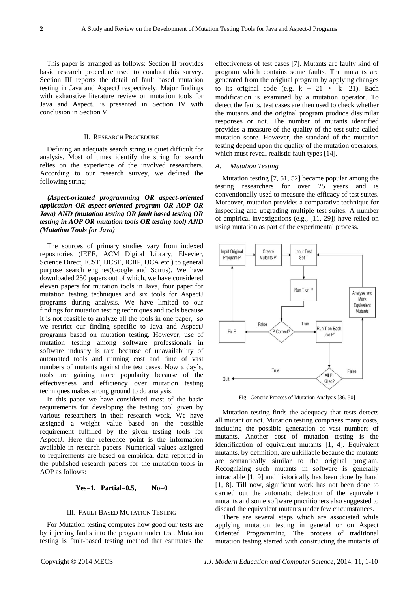This paper is arranged as follows: Section II provides basic research procedure used to conduct this survey. Section III reports the detail of fault based mutation testing in Java and AspectJ respectively. Major findings with exhaustive literature review on mutation tools for Java and AspectJ is presented in Section IV with conclusion in Section V.

# II. RESEARCH PROCEDURE

Defining an adequate search string is quiet difficult for analysis. Most of times identify the string for search relies on the experience of the involved researchers. According to our research survey, we defined the following string:

*(Aspect-oriented programming OR aspect-oriented application OR aspect-oriented program OR AOP OR Java) AND (mutation testing OR fault based testing OR testing in AOP OR mutation tools OR testing tool) AND (Mutation Tools for Java)*

The sources of primary studies vary from indexed repositories (IEEE, ACM Digital Library, Elsevier, Science Direct, ICST, IJCSE, ICIIP, IJCA etc ) to general purpose search engines(Google and Scirus). We have downloaded 250 papers out of which, we have considered eleven papers for mutation tools in Java, four paper for mutation testing techniques and six tools for AspectJ programs during analysis. We have limited to our findings for mutation testing techniques and tools because it is not feasible to analyze all the tools in one paper, so we restrict our finding specific to Java and AspectJ programs based on mutation testing. However, use of mutation testing among software professionals in software industry is rare because of unavailability of automated tools and running cost and time of vast numbers of mutants against the test cases. Now a day's, tools are gaining more popularity because of the effectiveness and efficiency over mutation testing techniques makes strong ground to do analysis.

In this paper we have considered most of the basic requirements for developing the testing tool given by various researchers in their research work. We have assigned a weight value based on the possible requirement fulfilled by the given testing tools for AspectJ. Here the reference point is the information available in research papers. Numerical values assigned to requirements are based on empirical data reported in the published research papers for the mutation tools in AOP as follows:

# **Yes=1, Partial=0.5, No=0**

## III. FAULT BASED MUTATION TESTING

For Mutation testing computes how good our tests are by injecting faults into the program under test. Mutation testing is fault-based testing method that estimates the effectiveness of test cases [7]. Mutants are faulty kind of program which contains some faults. The mutants are generated from the original program by applying changes to its original code (e.g.  $k + 21 \rightarrow k -21$ ). Each modification is examined by a mutation operator. To detect the faults, test cases are then used to check whether the mutants and the original program produce dissimilar responses or not. The number of mutants identified provides a measure of the quality of the test suite called mutation score. However, the standard of the mutation testing depend upon the quality of the mutation operators, which must reveal realistic fault types [14].

## *A. Mutation Testing*

Mutation testing [7, 51, 52] became popular among the testing researchers for over 25 years and is conventionally used to measure the efficacy of test suites. Moreover, mutation provides a comparative technique for inspecting and upgrading multiple test suites. A number of empirical investigations (e.g., [11, 29]) have relied on using mutation as part of the experimental process.



Fig.1Generic Process of Mutation Analysis [36, 50]

Mutation testing finds the adequacy that tests detects all mutant or not. Mutation testing comprises many costs, including the possible generation of vast numbers of mutants. Another cost of mutation testing is the identification of equivalent mutants [1, 4]. Equivalent mutants, by definition, are unkillable because the mutants are semantically similar to the original program. Recognizing such mutants in software is generally intractable [1, 9] and historically has been done by hand [1, 8]. Till now, significant work has not been done to carried out the automatic detection of the equivalent mutants and some software practitioners also suggested to discard the equivalent mutants under few circumstances.

There are several steps which are associated while applying mutation testing in general or on Aspect Oriented Programming. The process of traditional mutation testing started with constructing the mutants of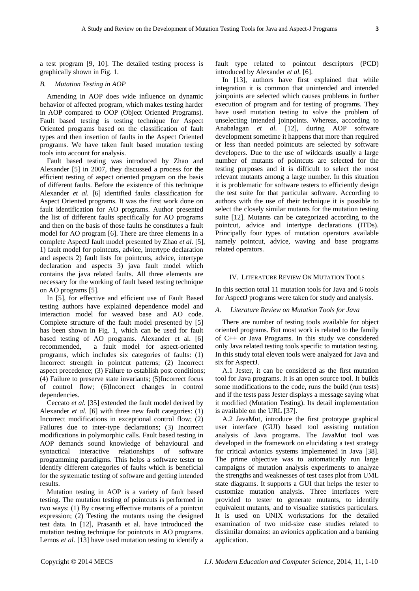a test program [9, 10]. The detailed testing process is graphically shown in Fig. 1.

# *B. Mutation Testing in AOP*

Amending in AOP does wide influence on dynamic behavior of affected program, which makes testing harder in AOP compared to OOP (Object Oriented Programs). Fault based testing is testing technique for Aspect Oriented programs based on the classification of fault types and then insertion of faults in the Aspect Oriented programs. We have taken fault based mutation testing tools into account for analysis.

Fault based testing was introduced by Zhao and Alexander [5] in 2007, they discussed a process for the efficient testing of aspect oriented program on the basis of different faults. Before the existence of this technique Alexander *et al.* [6] identified faults classification for Aspect Oriented programs. It was the first work done on fault identification for AO programs. Author presented the list of different faults specifically for AO programs and then on the basis of those faults he constitutes a fault model for AO program [6]. There are three elements in a complete AspectJ fault model presented by Zhao *et al.* [5], 1) fault model for pointcuts, advice, intertype declaration and aspects 2) fault lists for pointcuts, advice, intertype declaration and aspects 3) java fault model which contains the java related faults. All three elements are necessary for the working of fault based testing technique on AO programs [5].

In [5], for effective and efficient use of Fault Based testing authors have explained dependence model and interaction model for weaved base and AO code. Complete structure of the fault model presented by [5] has been shown in Fig. 1, which can be used for fault based testing of AO programs. Alexander et al. [6] recommended, a fault model for aspect-oriented programs, which includes six categories of faults: (1) Incorrect strength in pointcut patterns; (2) Incorrect aspect precedence; (3) Failure to establish post conditions; (4) Failure to preserve state invariants; (5)Incorrect focus of control flow; (6)Incorrect changes in control dependencies.

Ceccato *et al.* [35] extended the fault model derived by Alexander *et al.* [6] with three new fault categories: (1) Incorrect modifications in exceptional control flow; (2) Failures due to inter-type declarations; (3) Incorrect modifications in polymorphic calls. Fault based testing in AOP demands sound knowledge of behavioural and syntactical interactive relationships of software programming paradigms. This helps a software tester to identify different categories of faults which is beneficial for the systematic testing of software and getting intended results.

Mutation testing in AOP is a variety of fault based testing. The mutation testing of pointcuts is performed in two ways: (1) By creating effective mutants of a pointcut expression; (2) Testing the mutants using the designed test data. In [12], Prasanth et al. have introduced the mutation testing technique for pointcuts in AO programs. Lemos *et al.* [13] have used mutation testing to identify a

fault type related to pointcut descriptors (PCD) introduced by Alexander *et al.* [6].

In [13], authors have first explained that while integration it is common that unintended and intended joinpoints are selected which causes problems in further execution of program and for testing of programs. They have used mutation testing to solve the problem of unselecting intended joinpoints. Whereas, according to Anabalagan *et al.* [12], during AOP software development sometime it happens that more than required or less than needed pointcuts are selected by software developers. Due to the use of wildcards usually a large number of mutants of pointcuts are selected for the testing purposes and it is difficult to select the most relevant mutants among a large number. In this situation it is problematic for software testers to efficiently design the test suite for that particular software. According to authors with the use of their technique it is possible to select the closely similar mutants for the mutation testing suite [12]. Mutants can be categorized according to the pointcut, advice and intertype declarations (ITDs). Principally four types of mutation operators available namely pointcut, advice, waving and base programs related operators.

#### IV. LITERATURE REVIEW ON MUTATION TOOLS

In this section total 11 mutation tools for Java and 6 tools for AspectJ programs were taken for study and analysis.

# *A. Literature Review on Mutation Tools for Java*

There are number of testing tools available for object oriented programs. But most work is related to the family of C++ or Java Programs. In this study we considered only Java related testing tools specific to mutation testing. In this study total eleven tools were analyzed for Java and six for AspectJ.

A.1 Jester, it can be considered as the first mutation tool for Java programs. It is an open source tool. It builds some modifications to the code, runs the build (run tests) and if the tests pass Jester displays a message saying what it modified (Mutation Testing). Its detail implementation is available on the URL [37].

A.2 JavaMut, introduce the first prototype graphical user interface (GUI) based tool assisting mutation analysis of Java programs. The JavaMut tool was developed in the framework on elucidating a test strategy for critical avionics systems implemented in Java [38]. The prime objective was to automatically run large campaigns of mutation analysis experiments to analyze the strengths and weaknesses of test cases plot from UML state diagrams. It supports a GUI that helps the tester to customize mutation analysis. Three interfaces were provided to tester to generate mutants, to identify equivalent mutants, and to visualize statistics particulars. It is used on UNIX workstations for the detailed examination of two mid-size case studies related to dissimilar domains: an avionics application and a banking application.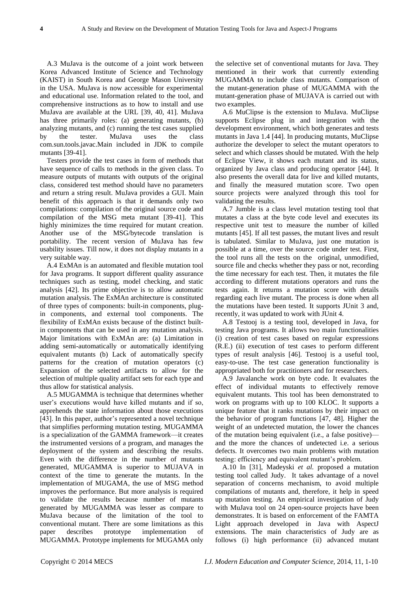A.3 MuJava is the outcome of a joint work between Korea Advanced Institute of Science and Technology (KAIST) in South Korea and George Mason University in the USA. MuJava is now accessible for experimental and educational use. Information related to the tool, and comprehensive instructions as to how to install and use MuJava are available at the URL [39, 40, 41]. MuJava has three primarily roles: (a) generating mutants, (b) analyzing mutants, and (c) running the test cases supplied by the tester. MuJava uses the class com.sun.tools.javac.Main included in JDK to compile mutants [39-41].

Testers provide the test cases in form of methods that have sequence of calls to methods in the given class. To measure outputs of mutants with outputs of the original class, considered test method should have no parameters and return a string result. MuJava provides a GUI. Main benefit of this approach is that it demands only two compilations: compilation of the original source code and compilation of the MSG meta mutant [39-41]. This highly minimizes the time required for mutant creation. Another use of the MSG/bytecode translation is portability. The recent version of MuJava has few usability issues. Till now, it does not display mutants in a very suitable way.

A.4 ExMAn is an automated and flexible mutation tool for Java programs. It support different quality assurance techniques such as testing, model checking, and static analysis [42]. Its prime objective is to allow automatic mutation analysis. The ExMAn architecture is constituted of three types of components: built-in components, plugin components, and external tool components. The flexibility of ExMAn exists because of the distinct builtin components that can be used in any mutation analysis. Major limitations with ExMAn are: (a) Limitation in adding semi-automatically or automatically identifying equivalent mutants (b) Lack of automatically specify patterns for the creation of mutation operators (c) Expansion of the selected artifacts to allow for the selection of multiple quality artifact sets for each type and thus allow for statistical analysis.

A.5 MUGAMMA is technique that determines whether user's executions would have killed mutants and if so, apprehends the state information about those executions [43]. In this paper, author's represented a novel technique that simplifies performing mutation testing. MUGAMMA is a specialization of the GAMMA framework—it creates the instrumented versions of a program, and manages the deployment of the system and describing the results. Even with the difference in the number of mutants generated, MUGAMMA is superior to MUJAVA in context of the time to generate the mutants. In the implementation of MUGAMA, the use of MSG method improves the performance. But more analysis is required to validate the results because number of mutants generated by MUGAMMA was lesser as compare to MuJava because of the limitation of the tool to conventional mutant. There are some limitations as this paper describes prototype implementation of MUGAMMA. Prototype implements for MUGAMA only

the selective set of conventional mutants for Java. They mentioned in their work that currently extending MUGAMMA to include class mutants. Comparison of the mutant-generation phase of MUGAMMA with the mutant-generation phase of MUJAVA is carried out with two examples.

A.6 MuClipse is the extension to MuJava. MuClipse supports Eclipse plug in and integration with the development environment, which both generates and tests mutants in Java 1.4 [44]. In producing mutants, MuClipse authorize the developer to select the mutant operators to select and which classes should be mutated. With the help of Eclipse View, it shows each mutant and its status, organized by Java class and producing operator [44]. It also presents the overall data for live and killed mutants, and finally the measured mutation score. Two open source projects were analyzed through this tool for validating the results.

A.7 Jumble is a class level mutation testing tool that mutates a class at the byte code level and executes its respective unit test to measure the number of killed mutants [45]. If all test passes, the mutant lives and result is tabulated. Similar to MuJava, just one mutation is possible at a time, over the source code under test. First, the tool runs all the tests on the original, unmodified, source file and checks whether they pass or not, recording the time necessary for each test. Then, it mutates the file according to different mutations operators and runs the tests again. It returns a mutation score with details regarding each live mutant. The process is done when all the mutations have been tested. It supports JUnit 3 and, recently, it was updated to work with JUnit 4.

A.8 Testooj is a testing tool, developed in Java, for testing Java programs. It allows two main functionalities (i) creation of test cases based on regular expressions (R.E.) (ii) execution of test cases to perform different types of result analysis [46]. Testooj is a useful tool, easy-to-use. The test case generation functionality is appropriated both for practitioners and for researchers.

A.9 Javalanche work on byte code. It evaluates the effect of individual mutants to effectively remove equivalent mutants. This tool has been demonstrated to work on programs with up to 100 KLOC. It supports a unique feature that it ranks mutations by their impact on the behavior of program functions [47, 48]. Higher the weight of an undetected mutation, the lower the chances of the mutation being equivalent (i.e., a false positive) and the more the chances of undetected i.e. a serious defects. It overcomes two main problems with mutation testing: efficiency and equivalent mutant's problem.

A.10 In [31], Madeyski *et al.* proposed a mutation testing tool called Judy. It takes advantage of a novel separation of concerns mechanism, to avoid multiple compilations of mutants and, therefore, it help in speed up mutation testing. An empirical investigation of Judy with MuJava tool on 24 open-source projects have been demonstrates. It is based on enforcement of the FAMTA Light approach developed in Java with AspectJ extensions. The main characteristics of Judy are as follows (i) high performance (ii) advanced mutant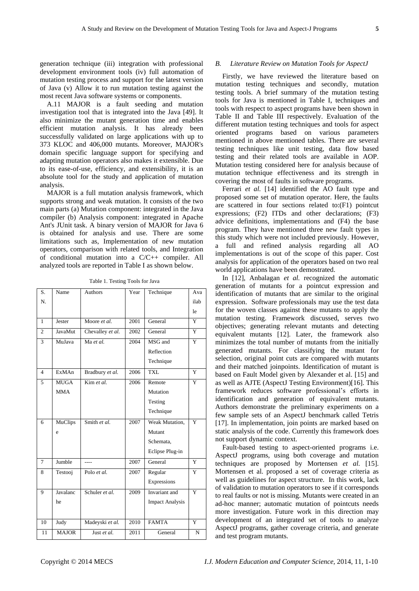generation technique (iii) integration with professional development environment tools (iv) full automation of mutation testing process and support for the latest version of Java (v) Allow it to run mutation testing against the most recent Java software systems or components.

A.11 MAJOR is a fault seeding and mutation investigation tool that is integrated into the Java [49]. It also minimize the mutant generation time and enables efficient mutation analysis. It has already been successfully validated on large applications with up to 373 KLOC and 406,000 mutants. Moreover, MAJOR's domain specific language support for specifying and adapting mutation operators also makes it extensible. Due to its ease-of-use, efficiency, and extensibility, it is an absolute tool for the study and application of mutation analysis.

MAJOR is a full mutation analysis framework, which supports strong and weak mutation. It consists of the two main parts (a) Mutation component: integrated in the Java compiler (b) Analysis component: integrated in Apache Ant's JUnit task. A binary version of MAJOR for Java 6 is obtained for analysis and use. There are some limitations such as, Implementation of new mutation operators, comparison with related tools, and Integration of conditional mutation into a C/C++ compiler. All analyzed tools are reported in Table I as shown below.

Table 1. Testing Tools for Java

| S.             | Name           | <b>Authors</b>   | Year | Technique              | Ava            |
|----------------|----------------|------------------|------|------------------------|----------------|
| N.             |                |                  |      |                        | ilah           |
|                |                |                  |      |                        | le             |
| 1              | Jester         | Moore et al.     | 2001 | General                | Y              |
| $\overline{c}$ | <b>JavaMut</b> | Chevalley et al. | 2002 | General                | $\overline{Y}$ |
| 3              | MuJava         | Ma et al.        | 2004 | MSG and                | Y              |
|                |                |                  |      | Reflection             |                |
|                |                |                  |      | Technique              |                |
| $\overline{4}$ | ExMAn          | Bradbury et al.  | 2006 | TXL                    | Y              |
| 5              | <b>MUGA</b>    | Kim et al.       | 2006 | Remote                 | $\overline{Y}$ |
|                | <b>MMA</b>     |                  |      | Mutation               |                |
|                |                |                  |      | Testing                |                |
|                |                |                  |      | Technique              |                |
| 6              | MuClips        | Smith et al.     | 2007 | Weak Mutation,         | Y              |
|                | e              |                  |      | Mutant                 |                |
|                |                |                  |      | Schemata,              |                |
|                |                |                  |      | Eclipse Plug-in        |                |
| 7              | Jumble         | ----             | 2007 | General                | Y              |
| 8              | Testooj        | Polo $et$ $al$ . | 2007 | Regular                | Y              |
|                |                |                  |      | Expressions            |                |
| 9              | Javalanc       | Schuler et al.   | 2009 | Invariant and          | $\overline{Y}$ |
|                | he             |                  |      | <b>Impact Analysis</b> |                |
|                |                |                  |      |                        |                |
| 10             | Judy           | Madeyski et al.  | 2010 | <b>FAMTA</b>           | Y              |
| 11             | <b>MAJOR</b>   | Just et al.      | 2011 | General                | N              |
|                |                |                  |      |                        |                |

# *B. Literature Review on Mutation Tools for AspectJ*

Firstly, we have reviewed the literature based on mutation testing techniques and secondly, mutation testing tools. A brief summary of the mutation testing tools for Java is mentioned in Table I, techniques and tools with respect to aspect programs have been shown in Table II and Table III respectively. Evaluation of the different mutation testing techniques and tools for aspect oriented programs based on various parameters mentioned in above mentioned tables. There are several testing techniques like unit testing, data flow based testing and their related tools are available in AOP. Mutation testing considered here for analysis because of mutation technique effectiveness and its strength in covering the most of faults in software programs.

Ferrari *et al.* [14] identified the AO fault type and proposed some set of mutation operator. Here, the faults are scattered in four sections related to:(F1) pointcut expressions; (F2) ITDs and other declarations; (F3) advice definitions, implementations and (F4) the base program. They have mentioned three new fault types in this study which were not included previously. However, a full and refined analysis regarding all AO implementations is out of the scope of this paper. Cost analysis for application of the operators based on two real world applications have been demostrated.

In [12], Anbalagan *et al.* recognized the automatic generation of mutants for a pointcut expression and identification of mutants that are similar to the original expression. Software professionals may use the test data for the woven classes against these mutants to apply the mutation testing. Framework discussed, serves two objectives; generating relevant mutants and detecting equivalent mutants [12]. Later, the framework also minimizes the total number of mutants from the initially generated mutants. For classifying the mutant for selection, original point cuts are compared with mutants and their matched joinpoints. Identification of mutant is based on Fault Model given by Alexander et al. [15] and as well as AJTE (AspectJ Testing Environment)[16]. This framework reduces software professional's efforts in identification and generation of equivalent mutants. Authors demonstrate the preliminary experiments on a few sample sets of an AspectJ benchmark called Tetris [17]. In implementation, join points are marked based on static analysis of the code. Currently this framework does not support dynamic context.

Fault-based testing to aspect-oriented programs i.e. AspectJ programs, using both coverage and mutation techniques are proposed by Mortensen *et al.* [15]. Mortensen et al. proposed a set of coverage criteria as well as guidelines for aspect structure. In this work, lack of validation to mutation operators to see if it corresponds to real faults or not is missing. Mutants were created in an ad-hoc manner; automatic mutation of pointcuts needs more investigation. Future work in this direction may development of an integrated set of tools to analyze AspectJ programs, gather coverage criteria, and generate and test program mutants.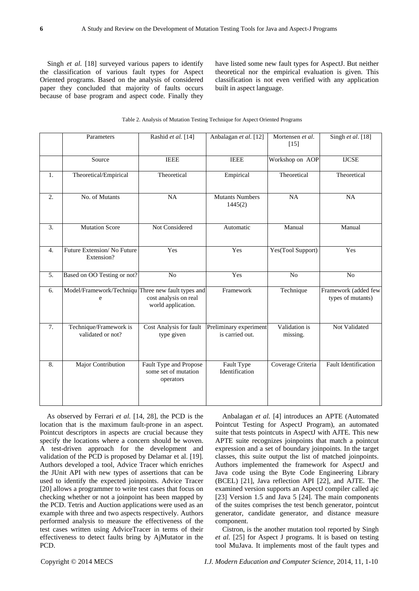Singh *et al.* [18] surveyed various papers to identify the classification of various fault types for Aspect Oriented programs. Based on the analysis of considered paper they concluded that majority of faults occurs because of base program and aspect code. Finally they

have listed some new fault types for AspectJ. But neither theoretical nor the empirical evaluation is given. This classification is not even verified with any application built in aspect language.

## Table 2. Analysis of Mutation Testing Technique for Aspect Oriented Programs

|                  | Parameters                                              | Rashid et al. [14]                                          | Anbalagan et al. [12]                     | Mortensen et al.<br>$[15]$ | Singh et al. $[18]$                       |
|------------------|---------------------------------------------------------|-------------------------------------------------------------|-------------------------------------------|----------------------------|-------------------------------------------|
|                  | Source                                                  | <b>IEEE</b>                                                 | <b>IEEE</b>                               | Workshop on AOP            | <b>IJCSE</b>                              |
| $\mathbf{1}$ .   | Theoretical/Empirical                                   | Theoretical                                                 | Empirical                                 | Theoretical                | Theoretical                               |
| 2.               | No. of Mutants                                          | NA                                                          | <b>Mutants Numbers</b><br>1445(2)         | NA                         | NA                                        |
| $\overline{3}$ . | <b>Mutation Score</b>                                   | Not Considered                                              | Automatic                                 | Manual                     | Manual                                    |
| 4.               | Future Extension/No Future<br>Extension?                | Yes                                                         | Yes                                       | Yes(Tool Support)          | Yes                                       |
| 5.               | Based on OO Testing or not?                             | N <sub>o</sub>                                              | Yes                                       | $\bar{N}$                  | N <sub>o</sub>                            |
| 6.               | Model/Framework/Techniqu Three new fault types and<br>e | cost analysis on real<br>world application.                 | Framework                                 | Technique                  | Framework (added few<br>types of mutants) |
| 7.               | Technique/Framework is<br>validated or not?             | Cost Analysis for fault<br>type given                       | Preliminary experiment<br>is carried out. | Validation is<br>missing.  | Not Validated                             |
| 8.               | <b>Major Contribution</b>                               | Fault Type and Propose<br>some set of mutation<br>operators | Fault Type<br>Identification              | Coverage Criteria          | <b>Fault Identification</b>               |

As observed by Ferrari *et al.* [14, 28], the PCD is the location that is the maximum fault-prone in an aspect. Pointcut descriptors in aspects are crucial because they specify the locations where a concern should be woven. A test-driven approach for the development and validation of the PCD is proposed by Delamar et al. [19]. Authors developed a tool, Advice Tracer which enriches the JUnit API with new types of assertions that can be used to identify the expected joinpoints. Advice Tracer [20] allows a programmer to write test cases that focus on checking whether or not a joinpoint has been mapped by the PCD. Tetris and Auction applications were used as an example with three and two aspects respectively. Authors performed analysis to measure the effectiveness of the test cases written using AdviceTracer in terms of their effectiveness to detect faults bring by AjMutator in the PCD.

Anbalagan *et al.* [4] introduces an APTE (Automated Pointcut Testing for AspectJ Program), an automated suite that tests pointcuts in AspectJ with AJTE. This new APTE suite recognizes joinpoints that match a pointcut expression and a set of boundary joinpoints. In the target classes, this suite output the list of matched joinpoints. Authors implemented the framework for AspectJ and Java code using the Byte Code Engineering Library (BCEL) [21], Java reflection API [22], and AJTE. The examined version supports an AspectJ compiler called ajc [23] Version 1.5 and Java 5 [24]. The main components of the suites comprises the test bench generator, pointcut generator, candidate generator, and distance measure component.

Cistron, is the another mutation tool reported by Singh *et al.* [25] for Aspect J programs. It is based on testing tool MuJava. It implements most of the fault types and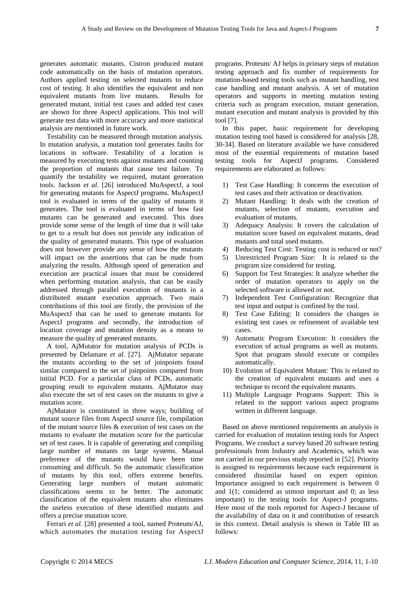generates automatic mutants. Cistron produced mutant code automatically on the basis of mutation operators. Authors applied testing on selected mutants to reduce cost of testing. It also identifies the equivalent and non equivalent mutants from live mutants. Results for generated mutant, initial test cases and added test cases are shown for three AspectJ applications. This tool will generate test data with more accuracy and more statistical analysis are mentioned in future work.

Testability can be measured through mutation analysis. In mutation analysis, a mutation tool generates faults for locations in software. Testability of a location is measured by executing tests against mutants and counting the proportion of mutants that cause test failure. To quantify the testability we required, mutant generation tools. Jackson *et al.* [26] introduced MuAspectJ, a tool for generating mutants for AspectJ programs. MuAspectJ tool is evaluated in terms of the quality of mutants it generates. The tool is evaluated in terms of how fast mutants can be generated and executed. This does provide some sense of the length of time that it will take to get to a result but does not provide any indication of the quality of generated mutants. This type of evaluation does not however provide any sense of how the mutants will impact on the assertions that can be made from analyzing the results. Although speed of generation and execution are practical issues that must be considered when performing mutation analysis, that can be easily addressed through parallel execution of mutants in a distributed mutant execution approach. Two main contributions of this tool are firstly, the provision of the MuAspectJ that can be used to generate mutants for AspectJ programs and secondly, the introduction of location coverage and mutation density as a means to measure the quality of generated mutants.

A tool, AjMutator for mutation analysis of PCDs is presented by Delamare *et al.* [27]. AjMutator separate the mutants according to the set of joinpoints found similar compared to the set of joinpoints compared from initial PCD. For a particular class of PCDs, automatic grouping result to equivalent mutants. AjMutator may also execute the set of test cases on the mutants to give a mutation score.

AjMutator is constituted in three ways; building of mutant source files from AspectJ source file, compilation of the mutant source files & execution of test cases on the mutants to evaluate the mutation score for the particular set of test cases. It is capable of generating and compiling large number of mutants on large systems. Manual preference of the mutants would have been time consuming and difficult. So the automatic classification of mutants by this tool, offers extreme benefits. Generating large numbers of mutant automatic classifications seems to be better. The automatic classification of the equivalent mutants also eliminates the useless execution of these identified mutants and offers a precise mutation score.

Ferrari *et al.* [28] presented a tool, named Proteum/AJ, which automates the mutation testing for AspectJ programs. Proteum/ AJ helps in primary steps of mutation testing approach and fix number of requirements for mutation-based testing tools such as mutant handling, test case handling and mutant analysis. A set of mutation operators and supports in meeting mutation testing criteria such as program execution, mutant generation, mutant execution and mutant analysis is provided by this tool [7].

In this paper, basic requirement for developing mutation testing tool based is considered for analysis [28, 30-34]. Based on literature available we have considered most of the essential requirements of mutation based testing tools for AspectJ programs. Considered requirements are elaborated as follows:

- 1) Test Case Handling: It concerns the execution of test cases and their activation or deactivation.
- 2) Mutant Handling: It deals with the creation of mutants, selection of mutants, execution and evaluation of mutants.
- 3) Adequacy Analysis: It covers the calculation of mutation score based on equivalent mutants, dead mutants and total used mutants.
- 4) Reducing Test Cost: Testing cost is reduced or not?
- 5) Unrestricted Program Size: It is related to the program size considered for testing.
- 6) Support for Test Strategies: It analyze whether the order of mutation operators to apply on the selected software is allowed or not.
- 7) Independent Test Configuration: Recognize that test input and output is confined by the tool.
- 8) Test Case Editing: It considers the changes in existing test cases or refinement of available test cases.
- 9) Automatic Program Execution: It considers the execution of actual programs as well as mutants. Spot that program should execute or compiles automatically.
- 10) Evolution of Equivalent Mutant: This is related to the creation of equivalent mutants and uses a technique to record the equivalent mutants.
- 11) Multiple Language Programs Support: This is related to the support various aspect programs written in different language.

Based on above mentioned requirements an analysis is carried for evaluation of mutation testing tools for Aspect Programs. We conduct a survey based 20 software testing professionals from Industry and Academics, which was not carried in our previous study reported in [52]. Priority is assigned to requirements because each requirement is considered dissimilar based on expert opinion. Importance assigned to each requirement is between 0 and 1(1; considered as utmost important and 0; as less important) to the testing tools for Aspect-J programs. Here most of the tools reported for Aspect-J because of the availability of data on it and contribution of research in this context. Detail analysis is shown in Table III as follows: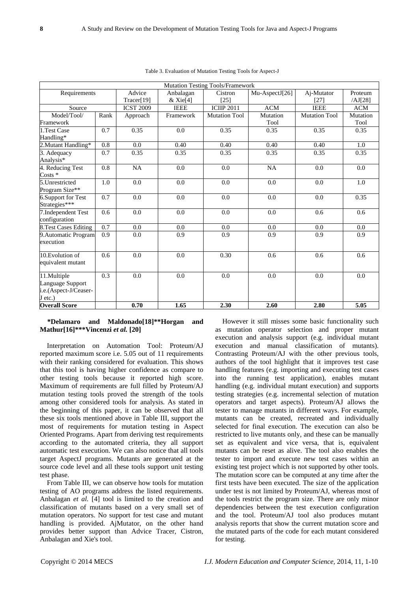|                              |                  |                  |                        | <b>Mutation Testing Tools/Framework</b> |                |                      |            |
|------------------------------|------------------|------------------|------------------------|-----------------------------------------|----------------|----------------------|------------|
| Requirements                 |                  | Advice           | Anbalagan              | Cistron                                 | Mu-AspectJ[26] | Aj-Mutator           | Proteum    |
|                              |                  | Tracer[19]       | $&$ Xie <sup>[4]</sup> | [25]                                    |                | [27]                 | /AJ[28]    |
| Source                       |                  | <b>ICST 2009</b> | <b>IEEE</b>            | <b>ICIIP 2011</b>                       | <b>ACM</b>     | <b>IEEE</b>          | <b>ACM</b> |
| Model/Tool/                  | Rank             | Approach         | Framework              | <b>Mutation Tool</b>                    | Mutation       | <b>Mutation Tool</b> | Mutation   |
| Framework                    |                  |                  |                        |                                         | Tool           |                      | Tool       |
| 1.Test Case                  | $\overline{0.7}$ | 0.35             | 0.0                    | 0.35                                    | 0.35           | 0.35                 | 0.35       |
| Handling*                    |                  |                  |                        |                                         |                |                      |            |
| 2. Mutant Handling*          | 0.8              | 0.0              | 0.40                   | 0.40                                    | 0.40           | 0.40                 | 1.0        |
| 3. Adequacy                  | 0.7              | 0.35             | 0.35                   | 0.35                                    | 0.35           | 0.35                 | 0.35       |
| Analysis*                    |                  |                  |                        |                                         |                |                      |            |
| 4. Reducing Test             | 0.8              | NA               | 0.0                    | 0.0                                     | NA             | 0.0                  | 0.0        |
| $Costs *$                    |                  |                  |                        |                                         |                |                      |            |
| 5.Unrestricted               | 1.0              | 0.0              | 0.0                    | 0.0                                     | 0.0            | 0.0                  | 1.0        |
| Program Size**               |                  |                  |                        |                                         |                |                      |            |
| 6.Support for Test           | 0.7              | 0.0              | 0.0                    | 0.0                                     | 0.0            | 0.0                  | 0.35       |
| Strategies***                |                  |                  |                        |                                         |                |                      |            |
| 7. Independent Test          | 0.6              | 0.0              | 0.0                    | 0.0                                     | 0.0            | 0.6                  | 0.6        |
| configuration                |                  |                  |                        |                                         |                |                      |            |
| <b>8. Test Cases Editing</b> | $\overline{0.7}$ | 0.0              | 0.0                    | 0.0                                     | 0.0            | 0.0                  | 0.0        |
| 9. Automatic Program         | 0.9              | 0.0              | 0.9                    | 0.9                                     | 0.9            | 0.9                  | 0.9        |
| execution                    |                  |                  |                        |                                         |                |                      |            |
|                              |                  |                  |                        |                                         |                |                      |            |
| 10. Evolution of             | 0.6              | 0.0              | 0.0                    | 0.30                                    | 0.6            | 0.6                  | 0.6        |
| equivalent mutant            |                  |                  |                        |                                         |                |                      |            |
| 11.Multiple                  | 0.3              | 0.0              | 0.0                    | 0.0                                     | 0.0            | 0.0                  | 0.0        |
| Language Support             |                  |                  |                        |                                         |                |                      |            |
| i.e.(Aspect-J/Ceaser-        |                  |                  |                        |                                         |                |                      |            |
| J etc.)                      |                  |                  |                        |                                         |                |                      |            |
| <b>Overall Score</b>         |                  | 0.70             | 1.65                   | 2.30                                    | 2.60           | 2.80                 | 5.05       |

Table 3. Evaluation of Mutation Testing Tools for Aspect-J

# **\*Delamaro and Maldonado[18]\*\*Horgan and Mathur[16]\*\*\*Vincenzi** *et al.* **[20]**

Interpretation on Automation Tool: Proteum/AJ reported maximum score i.e. 5.05 out of 11 requirements with their ranking considered for evaluation. This shows that this tool is having higher confidence as compare to other testing tools because it reported high score. Maximum of requirements are full filled by Proteum/AJ mutation testing tools proved the strength of the tools among other considered tools for analysis. As stated in the beginning of this paper, it can be observed that all these six tools mentioned above in Table III, support the most of requirements for mutation testing in Aspect Oriented Programs. Apart from deriving test requirements according to the automated criteria, they all support automatic test execution. We can also notice that all tools target AspectJ programs. Mutants are generated at the source code level and all these tools support unit testing test phase.

From Table III, we can observe how tools for mutation testing of AO programs address the listed requirements. Anbalagan *et al.* [4] tool is limited to the creation and classification of mutants based on a very small set of mutation operators. No support for test case and mutant handling is provided. AjMutator, on the other hand provides better support than Advice Tracer, Cistron, Anbalagan and Xie's tool.

However it still misses some basic functionality such as mutation operator selection and proper mutant execution and analysis support (e.g. individual mutant execution and manual classification of mutants). Contrasting Proteum/AJ with the other previous tools, authors of the tool highlight that it improves test case handling features (e.g. importing and executing test cases into the running test application), enables mutant handling (e.g. individual mutant execution) and supports testing strategies (e.g. incremental selection of mutation operators and target aspects). Proteum/AJ allows the tester to manage mutants in different ways. For example, mutants can be created, recreated and individually selected for final execution. The execution can also be restricted to live mutants only, and these can be manually set as equivalent and vice versa, that is, equivalent mutants can be reset as alive. The tool also enables the tester to import and execute new test cases within an existing test project which is not supported by other tools. The mutation score can be computed at any time after the first tests have been executed. The size of the application under test is not limited by Proteum/AJ, whereas most of the tools restrict the program size. There are only minor dependencies between the test execution configuration and the tool. Proteum/AJ tool also produces mutant analysis reports that show the current mutation score and the mutated parts of the code for each mutant considered for testing.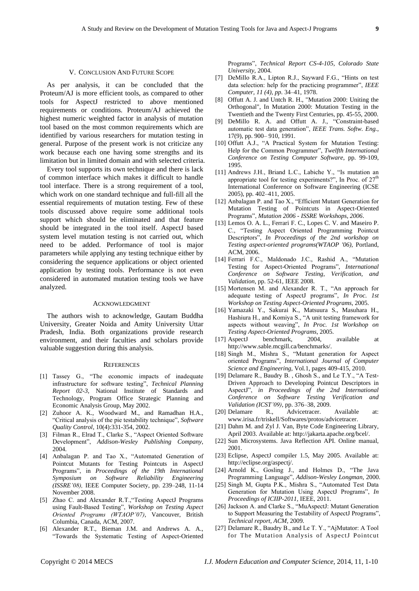## V. CONCLUSION AND FUTURE SCOPE

As per analysis, it can be concluded that the Proteum/AJ is more efficient tools, as compared to other tools for AspectJ restricted to above mentioned requirements or conditions. Proteum/AJ achieved the highest numeric weighted factor in analysis of mutation tool based on the most common requirements which are identified by various researchers for mutation testing in general. Purpose of the present work is not criticize any work because each one having some strengths and its limitation but in limited domain and with selected criteria.

Every tool supports its own technique and there is lack of common interface which makes it difficult to handle tool interface. There is a strong requirement of a tool, which work on one standard technique and full-fill all the essential requirements of mutation testing. Few of these tools discussed above require some additional tools support which should be eliminated and that feature should be integrated in the tool itself. AspectJ based system level mutation testing is not carried out, which need to be added. Performance of tool is major parameters while applying any testing technique either by considering the sequence applications or object oriented application by testing tools. Performance is not even considered in automated mutation testing tools we have analyzed.

# ACKNOWLEDGMENT

The authors wish to acknowledge, Gautam Buddha University, Greater Noida and Amity University Uttar Pradesh, India. Both organizations provide research environment, and their faculties and scholars provide valuable suggestion during this analysis.

#### **REFERENCES**

- [1] Tassey G., "The economic impacts of inadequate infrastructure for software testing‖, *Technical Planning Report 02-3*, National Institute of Standards and Technology, Program Office Strategic Planning and Economic Analysis Group, May 2002.
- [2] Zuhoor A. K., Woodward M., and Ramadhan H.A., ―Critical analysis of the pie testability technique‖, *Software Quality Control*, 10(4):331-354, 2002.
- [3] Filman R., Elrad T., Clarke S., "Aspect Oriented Software Development‖, *Addison-Wesley Publishing Company*, 2004.
- [4] Anbalagan P. and Tao X., "Automated Generation of Pointcut Mutants for Testing Pointcuts in AspectJ Programs‖, in *Proceedings of the 19th International Symposium on Software Reliability Engineering (ISSRE'08),* IEEE Computer Society, pp. 239–248, 11-14 November 2008.
- [5] Zhao C. and Alexander R.T., "Testing AspectJ Programs using Fault-Based Testing", *Workshop on Testing Aspect Oriented Programs (WTAOP'07),* Vancouver, British Columbia, Canada, ACM, 2007.
- [6] Alexander R.T., Bieman J.M. and Andrews A. A., ―Towards the Systematic Testing of Aspect-Oriented

Programs‖, *Technical Report CS-4-105, Colorado State University,* 2004.

- [7] DeMillo R.A., Lipton R.J., Sayward F.G., "Hints on test data selection: help for the practicing programmer", IEEE *Computer, 11 (4), pp.* 34–41, 1978.
- [8] Offutt A. J. and Untch R. H., "Mutation 2000: Uniting the Orthogonal", In Mutation 2000: Mutation Testing in the Twentieth and the Twenty First Centuries, pp. 45-55, 2000.
- [9] DeMillo R. A. and Offutt A. J., "Constraint-based automatic test data generation", *IEEE Trans. Softw. Eng.*, 17(9), pp. 900– 910, 1991.
- [10] Offutt A.J., "A Practical System for Mutation Testing: Help for the Common Programmer", *Twelfth International Conference on Testing Computer Software*, pp. 99-109, 1995.
- [11] Andrews J.H., Briand L.C., Labiche Y., "Is mutation an appropriate tool for testing experiments?", In Proc. of  $27<sup>th</sup>$ International Conference on Software Engineering (ICSE 2005), pp. 402–411, 2005.
- [12] Anbalagan P. and Tao X., "Efficient Mutant Generation for Mutation Testing of Pointcuts in Aspect-Oriented Programs‖, *Mutation 2006 - ISSRE Workshops, 2006*.
- [13] Lemos O. A. L., Ferrari F. C., Lopes C. V. and Maseiro P. C., "Testing Aspect Oriented Programming Pointcut Descriptors", *In Proceedings of the 2nd workshop on Testing aspect-oriented programs(WTAOP '06)*, Portland, ACM, 2006.
- [14] Ferrari F.C., Maldonado J.C., Rashid A., "Mutation Testing for Aspect-Oriented Programs", *International Conference on Software Testing, Verification, and Validation*, pp. 52-61, IEEE 2008.
- [15] Mortensen M. and Alexander R. T., "An approach for adequate testing of AspectJ programs", *In Proc. 1st Workshop on Testing Aspect-Oriented Programs*, 2005.
- [16] Yamazaki Y., Sakurai K., Matsuura S., Masuhara H., Hashiura H., and Komiya S., "A unit testing framework for aspects without weaving", *In Proc. 1st Workshop on Testing Aspect-Oriented Programs*, 2005.
- [17] AspectJ benchmark, 2004, available at http://www.sable.mcgill.ca/benchmarks/.
- [18] Singh M., Mishra S., "Mutant generation for Aspect oriented Programs", *International Journal of Computer Science and Engineering*, Vol.1, pages 409-415, 2010.
- [19] Delamare R., Baudry B., Ghosh S., and Le T.Y., "A Test-Driven Approach to Developing Pointcut Descriptors in AspectJ‖, *in Proceedings of the 2nd International Conference on Software Testing Verification and Validation (ICST'09)*, pp. 376–38, 2009.
- [20] Delamare R., Advicetracer. Available at: www.irisa.fr/triskell/Softwares/protos/advicetracer.
- [21] Dahm M. and Zyl J. Van, Byte Code Engineering Library, April 2003. Available at: http://jakarta.apache.org/bcel/.
- [22] Sun Microsystems. Java Reflection API. Online manual, 2001.
- [23] Eclipse, AspectJ compiler 1.5, May 2005. Available at: http://eclipse.org/aspectj/.
- [24] Arnold K., Gosling J., and Holmes D., "The Java Programming Language‖, *Addison-Wesley Longman*, 2000.
- [25] Singh M, Gupta P.K., Mishra S., "Automated Test Data Generation for Mutation Using AspectJ Programs", *In Proceedings of ICIIP-2011,* IEEE, 2011.
- [26] Jackson A. and Clarke S., "MuAspectJ: Mutant Generation to Support Measuring the Testability of AspectJ Programs", *Technical report, ACM,* 2009.
- [27] Delamare R., Baudry B., and Le T. Y., "AjMutator: A Tool for The Mutation Analysis of AspectJ Pointcut